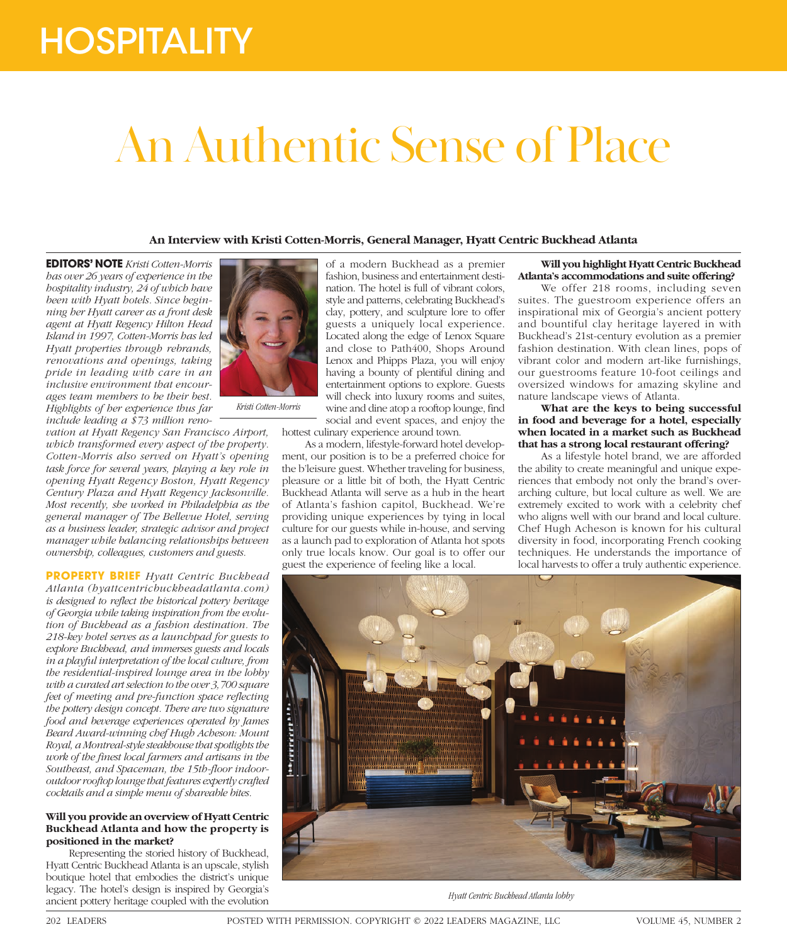# **HOSPITALITY**

# An Authentic Sense of Place

# **An Interview with Kristi Cotten-Morris, General Manager, Hyatt Centric Buckhead Atlanta**

**EDITORS' NOTE** *Kristi Cotten-Morris has over 26 years of experience in the hospitality industry, 24 of which have been with Hyatt hotels. Since beginning her Hyatt career as a front desk agent at Hyatt Regency Hilton Head Island in 1997, Cotten-Morris has led Hyatt properties through rebrands, renovations and openings, taking pride in leading with care in an inclusive environment that encourages team members to be their best. Highlights of her experience thus far include leading a \$73 million reno-*

*vation at Hyatt Regency San Francisco Airport, which transformed every aspect of the property. Cotten-Morris also served on Hyatt's opening task force for several years, playing a key role in opening Hyatt Regency Boston, Hyatt Regency Century Plaza and Hyatt Regency Jacksonville. Most recently, she worked in Philadelphia as the general manager of The Bellevue Hotel, serving as a business leader, strategic advisor and project manager while balancing relationships between ownership, colleagues, customers and guests.*

**PROPERTY BRIEF** *Hyatt Centric Buckhead Atlanta (hyattcentricbuckheadatlanta.com) is designed to reflect the historical pottery heritage of Georgia while taking inspiration from the evolution of Buckhead as a fashion destination. The 218-key hotel serves as a launchpad for guests to explore Buckhead, and immerses guests and locals in a playful interpretation of the local culture, from the residential-inspired lounge area in the lobby with a curated art selection to the over 3,700 square feet of meeting and pre-function space reflecting the pottery design concept. There are two signature food and beverage experiences operated by James Beard Award-winning chef Hugh Acheson: Mount Royal, a Montreal-style steakhouse that spotlights the work of the finest local farmers and artisans in the Southeast, and Spaceman, the 15th-floor indooroutdoor rooftop lounge that features expertly crafted cocktails and a simple menu of shareable bites.*

# **Will you provide an overview of Hyatt Centric Buckhead Atlanta and how the property is positioned in the market?**

Representing the storied history of Buckhead, Hyatt Centric Buckhead Atlanta is an upscale, stylish boutique hotel that embodies the district's unique legacy. The hotel's design is inspired by Georgia's ancient pottery heritage coupled with the evolution



of a modern Buckhead as a premier fashion, business and entertainment destination. The hotel is full of vibrant colors, style and patterns, celebrating Buckhead's clay, pottery, and sculpture lore to offer guests a uniquely local experience. Located along the edge of Lenox Square and close to Path400, Shops Around Lenox and Phipps Plaza, you will enjoy having a bounty of plentiful dining and entertainment options to explore. Guests will check into luxury rooms and suites, wine and dine atop a rooftop lounge, find social and event spaces, and enjoy the

hottest culinary experience around town.

As a modern, lifestyle-forward hotel development, our position is to be a preferred choice for the b'leisure guest. Whether traveling for business, pleasure or a little bit of both, the Hyatt Centric Buckhead Atlanta will serve as a hub in the heart of Atlanta's fashion capitol, Buckhead. We're providing unique experiences by tying in local culture for our guests while in-house, and serving as a launch pad to exploration of Atlanta hot spots only true locals know. Our goal is to offer our guest the experience of feeling like a local.

**Will you highlight Hyatt Centric Buckhead Atlanta's accommodations and suite offering?**

We offer 218 rooms, including seven suites. The guestroom experience offers an inspirational mix of Georgia's ancient pottery and bountiful clay heritage layered in with Buckhead's 21st-century evolution as a premier fashion destination. With clean lines, pops of vibrant color and modern art-like furnishings, our guestrooms feature 10-foot ceilings and oversized windows for amazing skyline and nature landscape views of Atlanta.

# **What are the keys to being successful in food and beverage for a hotel, especially when located in a market such as Buckhead that has a strong local restaurant offering?**

As a lifestyle hotel brand, we are afforded the ability to create meaningful and unique experiences that embody not only the brand's overarching culture, but local culture as well. We are extremely excited to work with a celebrity chef who aligns well with our brand and local culture. Chef Hugh Acheson is known for his cultural diversity in food, incorporating French cooking techniques. He understands the importance of local harvests to offer a truly authentic experience.



*Hyatt Centric Buckhead Atlanta lobby*